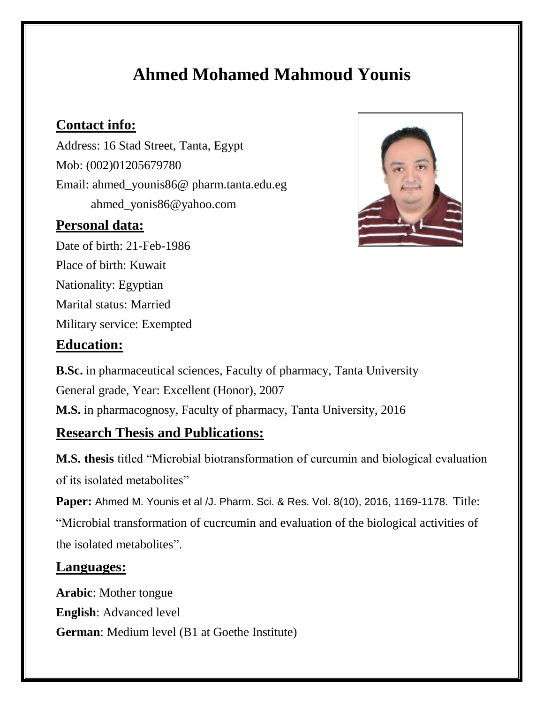# **Ahmed Mohamed Mahmoud Younis**

# **Contact info:**

Address: 16 Stad Street, Tanta, Egypt Mob: (002)01205679780 Email: ahmed\_younis86@ pharm.tanta.edu.eg ahmed\_yonis86@yahoo.com

#### **Personal data:**

Date of birth: 21-Feb-1986 Place of birth: Kuwait Nationality: Egyptian Marital status: Married Military service: Exempted

#### **Education:**

**B.Sc.** in pharmaceutical sciences, Faculty of pharmacy, Tanta University General grade, Year: Excellent (Honor), 2007 **M.S.** in pharmacognosy, Faculty of pharmacy, Tanta University, 2016

### **Research Thesis and Publications:**

**M.S. thesis** titled "Microbial biotransformation of curcumin and biological evaluation of its isolated metabolites"

**Paper:** Ahmed M. Younis et al /J. Pharm. Sci. & Res. Vol. 8(10), 2016, 1169-1178. Title: "Microbial transformation of cucrcumin and evaluation of the biological activities of the isolated metabolites".

#### **Languages:**

**Arabic**: Mother tongue **English**: Advanced level **German**: Medium level (B1 at Goethe Institute)